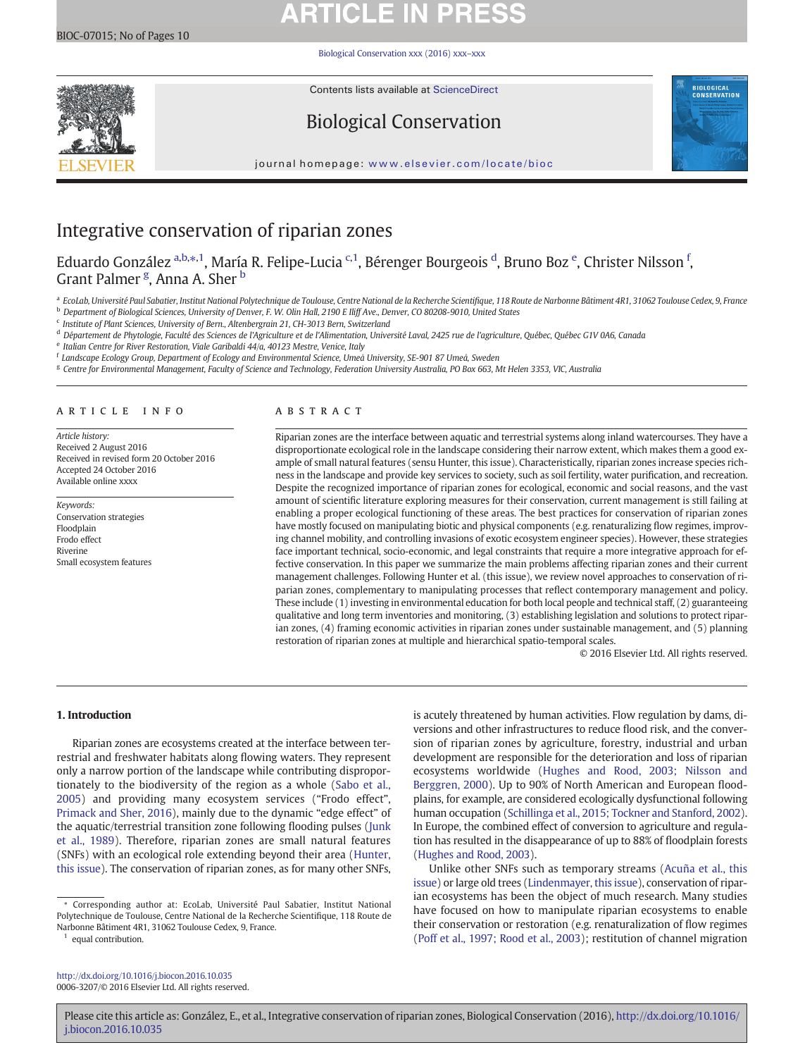# **ARTICLE IN PRESS**

[Biological Conservation xxx \(2016\) xxx](http://dx.doi.org/10.1016/j.biocon.2016.10.035)–xxx



Contents lists available at ScienceDirect

## Biological Conservation



journal homepage: <www.elsevier.com/locate/bioc>

## Integrative conservation of riparian zones

Eduardo González <sup>a,b,</sup>\*,<sup>1</sup>, María R. Felipe-Lucia <sup>c,1</sup>, Bérenger Bourgeois <sup>d</sup>, Bruno Boz <sup>e</sup>, Christer Nilsson <sup>f</sup>, Grant Palmer <sup>g</sup>, Anna A. Sher <sup>b</sup>

a EcoLab, Université Paul Sabatier, Institut National Polytechnique de Toulouse, Centre National de la Recherche Scientifique, 118 Route de Narbonne Bâtiment 4R1, 31062 Toulouse Cedex, 9, France

<sup>b</sup> Department of Biological Sciences, University of Denver, F. W. Olin Hall, 2190 E Iliff Ave., Denver, CO 80208-9010, United States

<sup>c</sup> Institute of Plant Sciences, University of Bern., Altenbergrain 21, CH-3013 Bern, Switzerland

<sup>d</sup> Département de Phytologie, Faculté des Sciences de l'Agriculture et de l'Alimentation, Université Laval, 2425 rue de l'agriculture, Québec, Québec G1V 0A6, Canada

 $e$  Italian Centre for River Restoration, Viale Garibaldi  $44/a$ ,  $40123$  Mestre, Venice, Italy

<sup>f</sup> Landscape Ecology Group, Department of Ecology and Environmental Science, Umeå University, SE-901 87 Umeå, Sweden

<sup>g</sup> Centre for Environmental Management, Faculty of Science and Technology, Federation University Australia, PO Box 663, Mt Helen 3353, VIC, Australia

### article info abstract

Article history: Received 2 August 2016 Received in revised form 20 October 2016 Accepted 24 October 2016 Available online xxxx

Keywords: Conservation strategies Floodplain Frodo effect Riverine Small ecosystem features

Riparian zones are the interface between aquatic and terrestrial systems along inland watercourses. They have a disproportionate ecological role in the landscape considering their narrow extent, which makes them a good example of small natural features (sensu Hunter, this issue). Characteristically, riparian zones increase species richness in the landscape and provide key services to society, such as soil fertility, water purification, and recreation. Despite the recognized importance of riparian zones for ecological, economic and social reasons, and the vast amount of scientific literature exploring measures for their conservation, current management is still failing at enabling a proper ecological functioning of these areas. The best practices for conservation of riparian zones have mostly focused on manipulating biotic and physical components (e.g. renaturalizing flow regimes, improving channel mobility, and controlling invasions of exotic ecosystem engineer species). However, these strategies face important technical, socio-economic, and legal constraints that require a more integrative approach for effective conservation. In this paper we summarize the main problems affecting riparian zones and their current management challenges. Following Hunter et al. (this issue), we review novel approaches to conservation of riparian zones, complementary to manipulating processes that reflect contemporary management and policy. These include (1) investing in environmental education for both local people and technical staff, (2) guaranteeing qualitative and long term inventories and monitoring, (3) establishing legislation and solutions to protect riparian zones, (4) framing economic activities in riparian zones under sustainable management, and (5) planning restoration of riparian zones at multiple and hierarchical spatio-temporal scales.

© 2016 Elsevier Ltd. All rights reserved.

### 1. Introduction

Riparian zones are ecosystems created at the interface between terrestrial and freshwater habitats along flowing waters. They represent only a narrow portion of the landscape while contributing disproportionately to the biodiversity of the region as a whole [\(Sabo et al.,](#page--1-0) [2005\)](#page--1-0) and providing many ecosystem services ("Frodo effect", [Primack and Sher, 2016](#page--1-0)), mainly due to the dynamic "edge effect" of the aquatic/terrestrial transition zone following flooding pulses [\(Junk](#page--1-0) [et al., 1989](#page--1-0)). Therefore, riparian zones are small natural features (SNFs) with an ecological role extending beyond their area ([Hunter,](#page--1-0) [this issue\)](#page--1-0). The conservation of riparian zones, as for many other SNFs,

⁎ Corresponding author at: EcoLab, Université Paul Sabatier, Institut National Polytechnique de Toulouse, Centre National de la Recherche Scientifique, 118 Route de Narbonne Bâtiment 4R1, 31062 Toulouse Cedex, 9, France.

<sup>1</sup> equal contribution.

<http://dx.doi.org/10.1016/j.biocon.2016.10.035> 0006-3207/© 2016 Elsevier Ltd. All rights reserved. is acutely threatened by human activities. Flow regulation by dams, diversions and other infrastructures to reduce flood risk, and the conversion of riparian zones by agriculture, forestry, industrial and urban development are responsible for the deterioration and loss of riparian ecosystems worldwide ([Hughes and Rood, 2003; Nilsson and](#page--1-0) [Berggren, 2000\)](#page--1-0). Up to 90% of North American and European floodplains, for example, are considered ecologically dysfunctional following human occupation ([Schillinga et al., 2015; Tockner and Stanford, 2002](#page--1-0)). In Europe, the combined effect of conversion to agriculture and regulation has resulted in the disappearance of up to 88% of floodplain forests [\(Hughes and Rood, 2003](#page--1-0)).

Unlike other SNFs such as temporary streams [\(Acuña et al., this](#page--1-0) [issue](#page--1-0)) or large old trees ([Lindenmayer, this issue](#page--1-0)), conservation of riparian ecosystems has been the object of much research. Many studies have focused on how to manipulate riparian ecosystems to enable their conservation or restoration (e.g. renaturalization of flow regimes [\(Poff et al., 1997; Rood et al., 2003](#page--1-0)); restitution of channel migration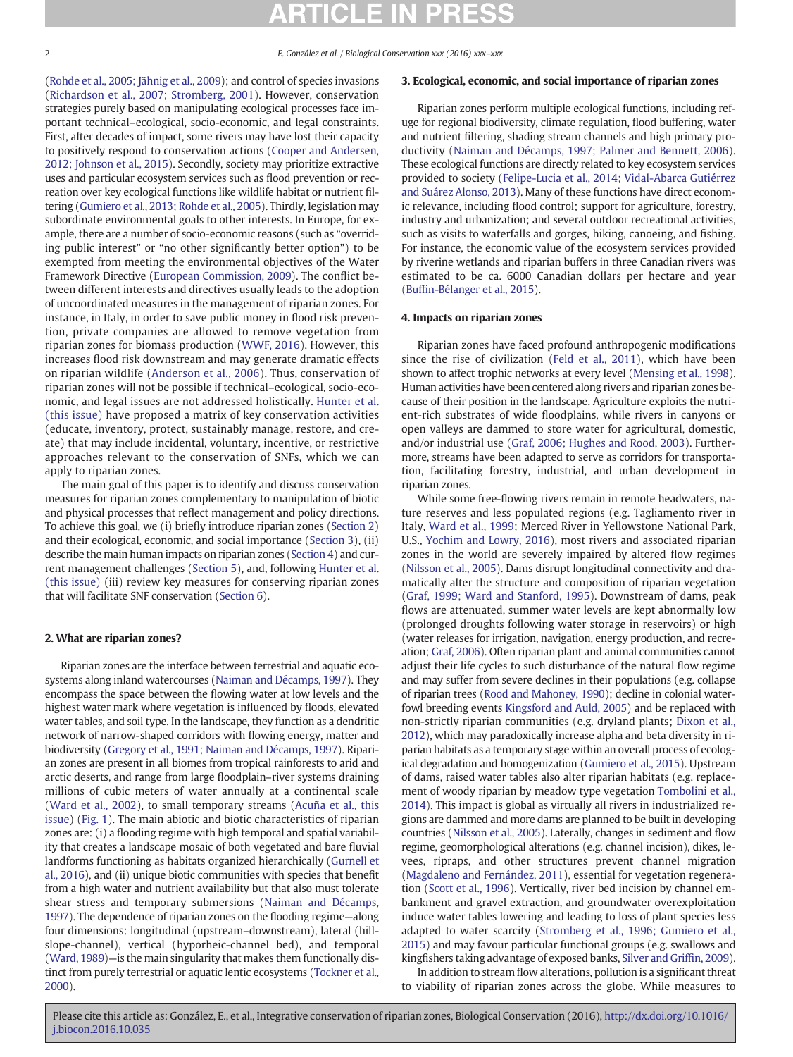2 E. González et al. / Biological Conservation xxx (2016) xxx–xxx

[\(Rohde et al., 2005; Jähnig et al., 2009\)](#page--1-0); and control of species invasions [\(Richardson et al., 2007; Stromberg, 2001\)](#page--1-0). However, conservation strategies purely based on manipulating ecological processes face important technical–ecological, socio-economic, and legal constraints. First, after decades of impact, some rivers may have lost their capacity to positively respond to conservation actions [\(Cooper and Andersen,](#page--1-0) [2012; Johnson et al., 2015](#page--1-0)). Secondly, society may prioritize extractive uses and particular ecosystem services such as flood prevention or recreation over key ecological functions like wildlife habitat or nutrient filtering [\(Gumiero et al., 2013; Rohde et al., 2005\)](#page--1-0). Thirdly, legislation may subordinate environmental goals to other interests. In Europe, for example, there are a number of socio-economic reasons (such as "overriding public interest" or "no other significantly better option") to be exempted from meeting the environmental objectives of the Water Framework Directive ([European Commission, 2009\)](#page--1-0). The conflict between different interests and directives usually leads to the adoption of uncoordinated measures in the management of riparian zones. For instance, in Italy, in order to save public money in flood risk prevention, private companies are allowed to remove vegetation from riparian zones for biomass production ([WWF, 2016](#page--1-0)). However, this increases flood risk downstream and may generate dramatic effects on riparian wildlife ([Anderson et al., 2006](#page--1-0)). Thus, conservation of riparian zones will not be possible if technical–ecological, socio-economic, and legal issues are not addressed holistically. [Hunter et al.](#page--1-0) [\(this issue\)](#page--1-0) have proposed a matrix of key conservation activities (educate, inventory, protect, sustainably manage, restore, and create) that may include incidental, voluntary, incentive, or restrictive approaches relevant to the conservation of SNFs, which we can apply to riparian zones.

The main goal of this paper is to identify and discuss conservation measures for riparian zones complementary to manipulation of biotic and physical processes that reflect management and policy directions. To achieve this goal, we (i) briefly introduce riparian zones (Section 2) and their ecological, economic, and social importance (Section 3), (ii) describe the main human impacts on riparian zones (Section 4) and current management challenges ([Section 5\)](#page--1-0), and, following [Hunter et al.](#page--1-0) [\(this issue\)](#page--1-0) (iii) review key measures for conserving riparian zones that will facilitate SNF conservation [\(Section 6](#page--1-0)).

### 2. What are riparian zones?

Riparian zones are the interface between terrestrial and aquatic ecosystems along inland watercourses [\(Naiman and Décamps, 1997\)](#page--1-0). They encompass the space between the flowing water at low levels and the highest water mark where vegetation is influenced by floods, elevated water tables, and soil type. In the landscape, they function as a dendritic network of narrow-shaped corridors with flowing energy, matter and biodiversity [\(Gregory et al., 1991; Naiman and Décamps, 1997](#page--1-0)). Riparian zones are present in all biomes from tropical rainforests to arid and arctic deserts, and range from large floodplain–river systems draining millions of cubic meters of water annually at a continental scale [\(Ward et al., 2002\)](#page--1-0), to small temporary streams ([Acuña et al., this](#page--1-0) [issue](#page--1-0)) ([Fig. 1](#page--1-0)). The main abiotic and biotic characteristics of riparian zones are: (i) a flooding regime with high temporal and spatial variability that creates a landscape mosaic of both vegetated and bare fluvial landforms functioning as habitats organized hierarchically ([Gurnell et](#page--1-0) [al., 2016](#page--1-0)), and (ii) unique biotic communities with species that benefit from a high water and nutrient availability but that also must tolerate shear stress and temporary submersions ([Naiman and Décamps,](#page--1-0) [1997\)](#page--1-0). The dependence of riparian zones on the flooding regime—along four dimensions: longitudinal (upstream–downstream), lateral (hillslope-channel), vertical (hyporheic-channel bed), and temporal [\(Ward, 1989](#page--1-0))—is the main singularity that makes them functionally distinct from purely terrestrial or aquatic lentic ecosystems [\(Tockner et al.,](#page--1-0) [2000\)](#page--1-0).

### 3. Ecological, economic, and social importance of riparian zones

Riparian zones perform multiple ecological functions, including refuge for regional biodiversity, climate regulation, flood buffering, water and nutrient filtering, shading stream channels and high primary productivity ([Naiman and Décamps, 1997; Palmer and Bennett, 2006](#page--1-0)). These ecological functions are directly related to key ecosystem services provided to society ([Felipe-Lucia et al., 2014; Vidal-Abarca Gutiérrez](#page--1-0) [and Suárez Alonso, 2013\)](#page--1-0). Many of these functions have direct economic relevance, including flood control; support for agriculture, forestry, industry and urbanization; and several outdoor recreational activities, such as visits to waterfalls and gorges, hiking, canoeing, and fishing. For instance, the economic value of the ecosystem services provided by riverine wetlands and riparian buffers in three Canadian rivers was estimated to be ca. 6000 Canadian dollars per hectare and year (Buffi[n-Bélanger et al., 2015](#page--1-0)).

### 4. Impacts on riparian zones

Riparian zones have faced profound anthropogenic modifications since the rise of civilization ([Feld et al., 2011](#page--1-0)), which have been shown to affect trophic networks at every level ([Mensing et al., 1998\)](#page--1-0). Human activities have been centered along rivers and riparian zones because of their position in the landscape. Agriculture exploits the nutrient-rich substrates of wide floodplains, while rivers in canyons or open valleys are dammed to store water for agricultural, domestic, and/or industrial use [\(Graf, 2006; Hughes and Rood, 2003\)](#page--1-0). Furthermore, streams have been adapted to serve as corridors for transportation, facilitating forestry, industrial, and urban development in riparian zones.

While some free-flowing rivers remain in remote headwaters, nature reserves and less populated regions (e.g. Tagliamento river in Italy, [Ward et al., 1999](#page--1-0); Merced River in Yellowstone National Park, U.S., [Yochim and Lowry, 2016](#page--1-0)), most rivers and associated riparian zones in the world are severely impaired by altered flow regimes [\(Nilsson et al., 2005\)](#page--1-0). Dams disrupt longitudinal connectivity and dramatically alter the structure and composition of riparian vegetation [\(Graf, 1999; Ward and Stanford, 1995](#page--1-0)). Downstream of dams, peak flows are attenuated, summer water levels are kept abnormally low (prolonged droughts following water storage in reservoirs) or high (water releases for irrigation, navigation, energy production, and recreation; [Graf, 2006\)](#page--1-0). Often riparian plant and animal communities cannot adjust their life cycles to such disturbance of the natural flow regime and may suffer from severe declines in their populations (e.g. collapse of riparian trees ([Rood and Mahoney, 1990](#page--1-0)); decline in colonial waterfowl breeding events [Kingsford and Auld, 2005](#page--1-0)) and be replaced with non-strictly riparian communities (e.g. dryland plants; [Dixon et al.,](#page--1-0) [2012\)](#page--1-0), which may paradoxically increase alpha and beta diversity in riparian habitats as a temporary stage within an overall process of ecological degradation and homogenization [\(Gumiero et al., 2015\)](#page--1-0). Upstream of dams, raised water tables also alter riparian habitats (e.g. replacement of woody riparian by meadow type vegetation [Tombolini et al.,](#page--1-0) [2014\)](#page--1-0). This impact is global as virtually all rivers in industrialized regions are dammed and more dams are planned to be built in developing countries [\(Nilsson et al., 2005](#page--1-0)). Laterally, changes in sediment and flow regime, geomorphological alterations (e.g. channel incision), dikes, levees, ripraps, and other structures prevent channel migration [\(Magdaleno and Fernández, 2011](#page--1-0)), essential for vegetation regeneration [\(Scott et al., 1996\)](#page--1-0). Vertically, river bed incision by channel embankment and gravel extraction, and groundwater overexploitation induce water tables lowering and leading to loss of plant species less adapted to water scarcity ([Stromberg et al., 1996; Gumiero et al.,](#page--1-0) [2015\)](#page--1-0) and may favour particular functional groups (e.g. swallows and kingfishers taking advantage of exposed banks, [Silver and Grif](#page--1-0)fin, 2009).

In addition to stream flow alterations, pollution is a significant threat to viability of riparian zones across the globe. While measures to